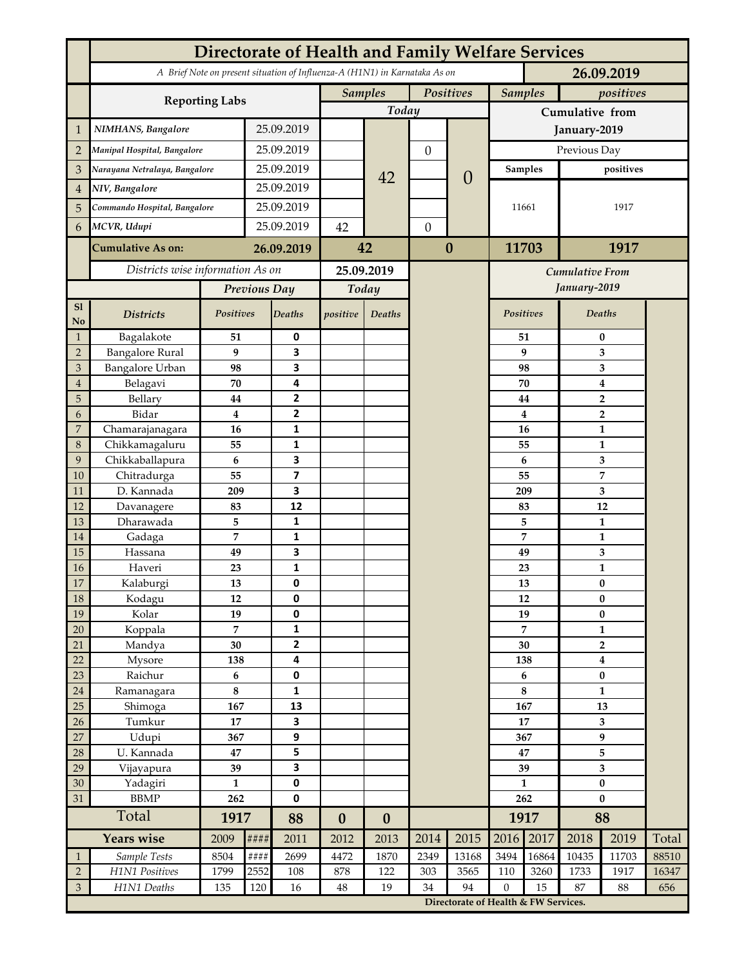|                     | Directorate of Health and Family Welfare Services                          |                |               |                          |                  |          |                  |                                      |                                        |                |                   |                         |       |  |
|---------------------|----------------------------------------------------------------------------|----------------|---------------|--------------------------|------------------|----------|------------------|--------------------------------------|----------------------------------------|----------------|-------------------|-------------------------|-------|--|
|                     | A Brief Note on present situation of Influenza-A (H1N1) in Karnataka As on |                |               |                          |                  |          |                  |                                      |                                        |                |                   | 26.09.2019              |       |  |
|                     | <b>Reporting Labs</b>                                                      |                |               |                          | <b>Samples</b>   |          | Positives        |                                      | <b>Samples</b>                         |                | positives         |                         |       |  |
|                     |                                                                            |                |               |                          | Today            |          |                  |                                      | Cumulative from                        |                |                   |                         |       |  |
| $\mathbf{1}$        | NIMHANS, Bangalore                                                         |                |               | 25.09.2019               |                  |          |                  |                                      | January-2019                           |                |                   |                         |       |  |
| $\overline{2}$      | Manipal Hospital, Bangalore                                                |                | 25.09.2019    |                          |                  |          | $\boldsymbol{0}$ |                                      | Previous Day                           |                |                   |                         |       |  |
| 3                   | Narayana Netralaya, Bangalore                                              |                |               | 25.09.2019               |                  |          |                  |                                      | <b>Samples</b>                         |                | positives         |                         |       |  |
| $\overline{4}$      | NIV, Bangalore                                                             |                | 25.09.2019    |                          |                  | 42       |                  | $\theta$                             | 11661                                  |                |                   |                         |       |  |
| 5                   | Commando Hospital, Bangalore                                               |                | 25.09.2019    |                          |                  |          |                  |                                      |                                        |                |                   | 1917                    |       |  |
| 6                   | MCVR, Udupi                                                                |                | 25.09.2019    |                          | 42               |          | $\mathbf{0}$     |                                      |                                        |                |                   |                         |       |  |
|                     | <b>Cumulative As on:</b>                                                   |                |               | 26.09.2019               |                  | 42       |                  | $\boldsymbol{0}$                     |                                        | 11703          |                   | 1917                    |       |  |
|                     | Districts wise information As on                                           |                |               |                          | 25.09.2019       |          |                  |                                      |                                        |                |                   |                         |       |  |
|                     |                                                                            |                |               | Previous Day             | Today            |          |                  |                                      | <b>Cumulative From</b><br>January-2019 |                |                   |                         |       |  |
| S1                  |                                                                            |                |               |                          |                  |          |                  |                                      |                                        |                | <b>Deaths</b>     |                         |       |  |
| $\mathbf {No}$      | <b>Districts</b>                                                           | Positives      |               | <b>Deaths</b>            | positive         | Deaths   |                  |                                      | Positives                              |                |                   |                         |       |  |
| $\mathbf{1}$        | Bagalakote                                                                 | 51             |               | 0                        |                  |          |                  |                                      |                                        | 51             | $\bf{0}$          |                         |       |  |
| $\overline{2}$      | <b>Bangalore Rural</b>                                                     | 9              |               | 3                        |                  |          |                  |                                      | 9                                      |                |                   | 3                       |       |  |
| 3<br>$\overline{4}$ | <b>Bangalore Urban</b>                                                     | 98<br>70       |               | 3<br>4                   |                  |          |                  |                                      | 98<br>70                               |                | 3                 |                         |       |  |
| 5                   | Belagavi<br>Bellary                                                        | 44             |               | 2                        |                  |          |                  |                                      |                                        | 44             | 4<br>2            |                         |       |  |
| 6                   | Bidar                                                                      | $\bf{4}$       |               | $\overline{\mathbf{2}}$  |                  |          |                  |                                      |                                        | 4              |                   | $\overline{\mathbf{2}}$ |       |  |
| 7                   | Chamarajanagara                                                            | 16             |               | 1                        |                  |          |                  |                                      | 16                                     |                |                   | 1                       |       |  |
| 8                   | Chikkamagaluru                                                             | 55             |               | 1                        |                  |          |                  |                                      | 55                                     |                |                   | 1                       |       |  |
| 9                   | Chikkaballapura                                                            | 6              |               | 3                        |                  |          |                  |                                      | 6                                      |                |                   | 3                       |       |  |
| 10                  | Chitradurga                                                                | 55             |               | $\overline{\phantom{a}}$ |                  |          |                  |                                      | 55                                     |                |                   | 7                       |       |  |
| 11                  | D. Kannada                                                                 | 209            |               | 3                        |                  |          |                  |                                      | 209                                    |                |                   | 3                       |       |  |
| 12                  | Davanagere                                                                 | 83             |               | 12                       |                  |          |                  |                                      | 83                                     |                |                   | 12                      |       |  |
| 13                  | Dharawada                                                                  | 5              |               | 1                        |                  |          |                  |                                      | 5                                      |                | 1                 |                         |       |  |
| 14                  | Gadaga                                                                     | $\overline{7}$ |               | $\mathbf{1}$             |                  |          |                  |                                      | $\overline{7}$                         |                | $\mathbf{1}$      |                         |       |  |
| 15                  | Hassana                                                                    | 49             |               | 3                        |                  |          |                  |                                      | 49<br>23                               |                | 3                 |                         |       |  |
| 16<br>17            | Haveri                                                                     | 23<br>13       |               | 1<br>0                   |                  |          |                  |                                      |                                        |                | $\mathbf{1}$<br>0 |                         |       |  |
| $18\,$              | Kalaburgi<br>Kodagu                                                        | 12             |               | 0                        |                  |          |                  |                                      | 13<br>12                               |                | $\bf{0}$          |                         |       |  |
| 19                  | Kolar                                                                      | 19             |               | 0                        |                  |          |                  |                                      | 19                                     |                | $\pmb{0}$         |                         |       |  |
| 20                  | Koppala                                                                    | $\overline{7}$ |               | 1                        |                  |          |                  |                                      |                                        | $\overline{7}$ | $\mathbf{1}$      |                         |       |  |
| 21                  | Mandya                                                                     | 30             |               | $\mathbf{2}$             |                  |          |                  |                                      | 30                                     |                | $\overline{2}$    |                         |       |  |
| 22                  | Mysore                                                                     | 138            |               | 4                        |                  |          |                  |                                      |                                        | 138            |                   | $\boldsymbol{4}$        |       |  |
| $23\,$              | Raichur                                                                    | 6              |               | 0                        |                  |          |                  |                                      | $6\phantom{.}6$                        |                | $\pmb{0}$         |                         |       |  |
| 24                  | Ramanagara                                                                 | $\bf 8$        |               | 1                        |                  |          |                  |                                      | $\bf 8$                                |                | $\mathbf{1}$      |                         |       |  |
| 25                  | Shimoga                                                                    | 167            |               | 13                       |                  |          |                  |                                      | 167                                    |                | 13                |                         |       |  |
| 26                  | Tumkur                                                                     | 17             |               | 3                        |                  |          |                  |                                      | 17                                     |                | 3                 |                         |       |  |
| 27                  | Udupi                                                                      | 367            |               | 9                        |                  |          |                  |                                      | 367                                    |                | 9                 |                         |       |  |
| $28\,$              | U. Kannada                                                                 | 47<br>39       |               | 5<br>3                   |                  |          |                  |                                      | 47<br>39                               |                | 5                 |                         |       |  |
| 29<br>30            | Vijayapura<br>Yadagiri                                                     | $\mathbf{1}$   |               | 0                        |                  |          |                  |                                      | $\mathbf{1}$                           |                | 3<br>$\pmb{0}$    |                         |       |  |
| 31                  | <b>BBMP</b>                                                                | 262            |               | 0                        |                  |          |                  |                                      | 262                                    |                | $\bf{0}$          |                         |       |  |
|                     | Total                                                                      |                | 1917          | 88                       | $\boldsymbol{0}$ | $\bf{0}$ |                  |                                      | 1917                                   |                | 88                |                         |       |  |
|                     | Years wise                                                                 | 2009           | ####          | 2011                     | 2012             | 2013     | 2014             | 2015                                 | 2016                                   | 2017           | 2018              | 2019                    | Total |  |
| $\mathbf{1}$        | Sample Tests                                                               | 8504           | $\# \# \# \#$ | 2699                     | 4472             | 1870     | 2349             | 13168                                | 3494                                   | 16864          | 10435             | 11703                   | 88510 |  |
| $\overline{2}$      | H1N1 Positives                                                             | 1799           | 2552          | 108                      | 878              | 122      | 303              | 3565                                 | 110                                    | 3260           | 1733              | 1917                    | 16347 |  |
| 3                   | H1N1 Deaths                                                                | 135            | 120           | 16                       | 48               | 19       | 34               | 94                                   | $\overline{0}$                         | 15             | 87                | 88                      | 656   |  |
|                     |                                                                            |                |               |                          |                  |          |                  | Directorate of Health & FW Services. |                                        |                |                   |                         |       |  |